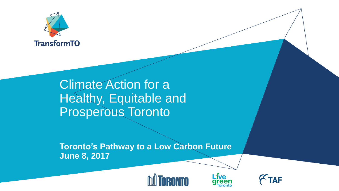

## Climate Action for a Healthy, Equitable and Prosperous Toronto

**Toronto's Pathway to a Low Carbon Future June 8, 2017**





**TAF** 

Live<br>green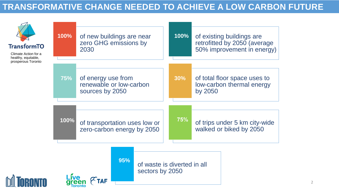## **TRANSFORMATIVE CHANGE NEEDED TO ACHIEVE A LOW CARBON FUTURE**

| <b>TransformTO</b><br>Climate Action for a<br>healthy, equitable,<br>prosperous Toronto | 100%       | of new buildings are near<br>zero GHG emissions by<br>2030       | 100%                        | of existing buildings are<br>retrofitted by 2050 (average<br>50% improvement in energy) |
|-----------------------------------------------------------------------------------------|------------|------------------------------------------------------------------|-----------------------------|-----------------------------------------------------------------------------------------|
|                                                                                         | <b>75%</b> | of energy use from<br>renewable or low-carbon<br>sources by 2050 | 30%                         | of total floor space uses to<br>low-carbon thermal energy<br>by 2050                    |
|                                                                                         | 100%       | of transportation uses low or<br>zero-carbon energy by 2050      | 75%                         | of trips under 5 km city-wide<br>walked or biked by 2050                                |
|                                                                                         |            | 95%<br>sectors by 2050                                           | of waste is diverted in all |                                                                                         |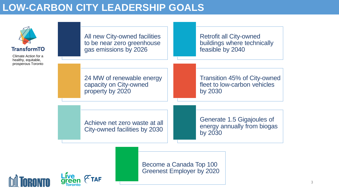## **LOW-CARBON CITY LEADERSHIP GOALS**



Become a Canada Top 100 **Greenest Employer by 2020**